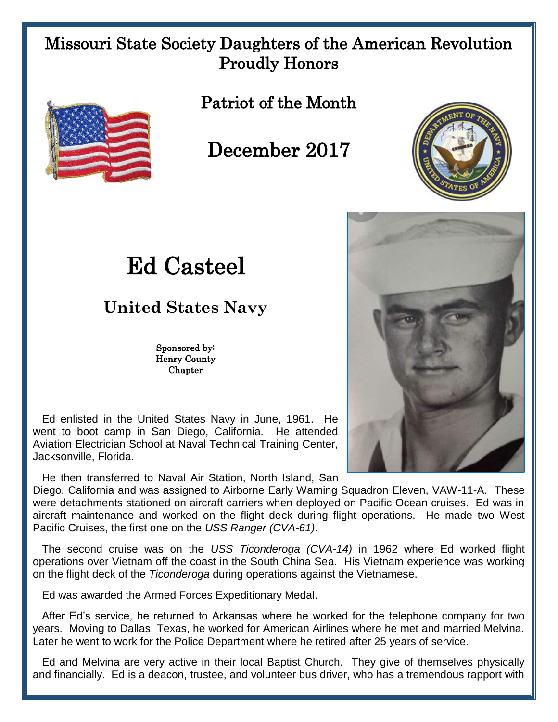## Missouri State Society Daughters of the American Revolution Proudly Honors



Patriot of the Month

December 2017



## Ed Casteel

## **United States Navy**

Sponsored by: Henry County Chapter

 Ed enlisted in the United States Navy in June, 1961. He went to boot camp in San Diego, California. He attended Aviation Electrician School at Naval Technical Training Center, Jacksonville, Florida.

He then transferred to Naval Air Station, North Island, San

Diego, California and was assigned to Airborne Early Warning Squadron Eleven, VAW-11-A. These were detachments stationed on aircraft carriers when deployed on Pacific Ocean cruises. Ed was in aircraft maintenance and worked on the flight deck during flight operations. He made two West Pacific Cruises, the first one on the *USS Ranger (CVA-61)*.

 The second cruise was on the *USS Ticonderoga (CVA-14)* in 1962 where Ed worked flight operations over Vietnam off the coast in the South China Sea. His Vietnam experience was working on the flight deck of the *Ticonderoga* during operations against the Vietnamese.

Ed was awarded the Armed Forces Expeditionary Medal.

 After Ed's service, he returned to Arkansas where he worked for the telephone company for two years. Moving to Dallas, Texas, he worked for American Airlines where he met and married Melvina. Later he went to work for the Police Department where he retired after 25 years of service.

 Ed and Melvina are very active in their local Baptist Church. They give of themselves physically and financially. Ed is a deacon, trustee, and volunteer bus driver, who has a tremendous rapport with